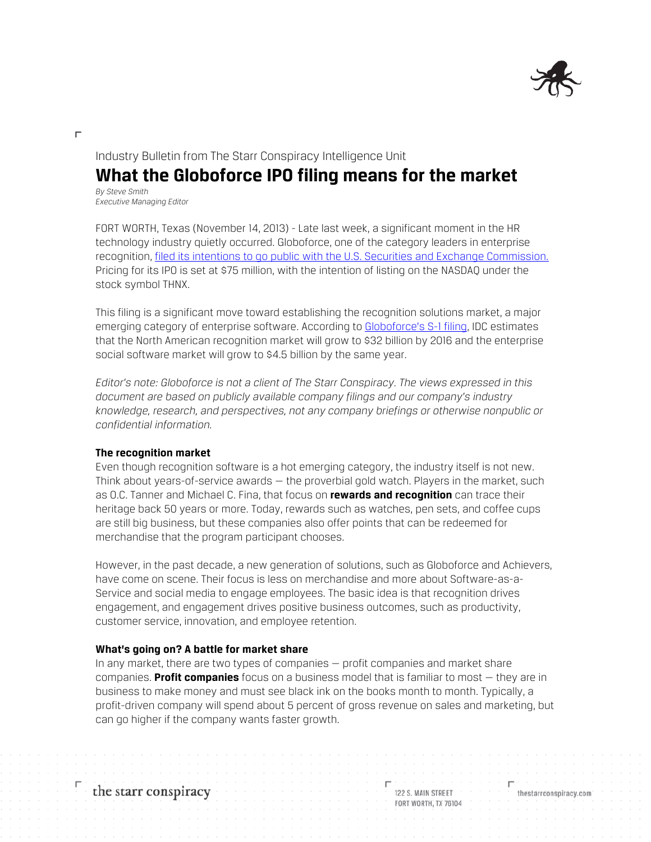

### Industry Bulletin from The Starr Conspiracy Intelligence Unit

# **What the Globoforce IPO filing means for the market**

*By Steve Smith Executive Managing Editor*

П

FORT WORTH, Texas (November 14, 2013) - Late last week, a significant moment in the HR technology industry quietly occurred. Globoforce, one of the category leaders in enterprise recognition[, filed its intentions to go public with the U.S. Securities](http://www.bizjournals.com/boston/blog/techflash/2013/11/globoforce-ipo-boston-tech.html) and Exchange Commission. Pricing for its IPO is set at \$75 million, with the intention of listing on the NASDAQ under the stock symbol THNX.

This filing is a significant move toward establishing the recognition solutions market, a major emerging category of enterprise software. According to [Globoforce's S-1 filing,](http://www.sec.gov/Archives/edgar/data/1565152/000119312513435418/d451503ds1.htm) IDC estimates that the North American recognition market will grow to \$32 billion by 2016 and the enterprise social software market will grow to \$4.5 billion by the same year.

*Editor's note: Globoforce is not a client of The Starr Conspiracy. The views expressed in this document are based on publicly available company filings and our company's industry knowledge, research, and perspectives, not any company briefings or otherwise nonpublic or confidential information.*

#### **The recognition market**

Even though recognition software is a hot emerging category, the industry itself is not new. Think about years-of-service awards — the proverbial gold watch. Players in the market, such as O.C. Tanner and Michael C. Fina, that focus on **rewards and recognition** can trace their heritage back 50 years or more. Today, rewards such as watches, pen sets, and coffee cups are still big business, but these companies also offer points that can be redeemed for merchandise that the program participant chooses.

However, in the past decade, a new generation of solutions, such as Globoforce and Achievers, have come on scene. Their focus is less on merchandise and more about Software-as-a-Service and social media to engage employees. The basic idea is that recognition drives engagement, and engagement drives positive business outcomes, such as productivity, customer service, innovation, and employee retention.

#### **What's going on? A battle for market share**

In any market, there are two types of companies — profit companies and market share companies. **Profit companies** focus on a business model that is familiar to most — they are in business to make money and must see black ink on the books month to month. Typically, a profit-driven company will spend about 5 percent of gross revenue on sales and marketing, but can go higher if the company wants faster growth.

122 S. MAIN STREET **FORT WORTH, TX 76104** 

thestarrconspiracy.com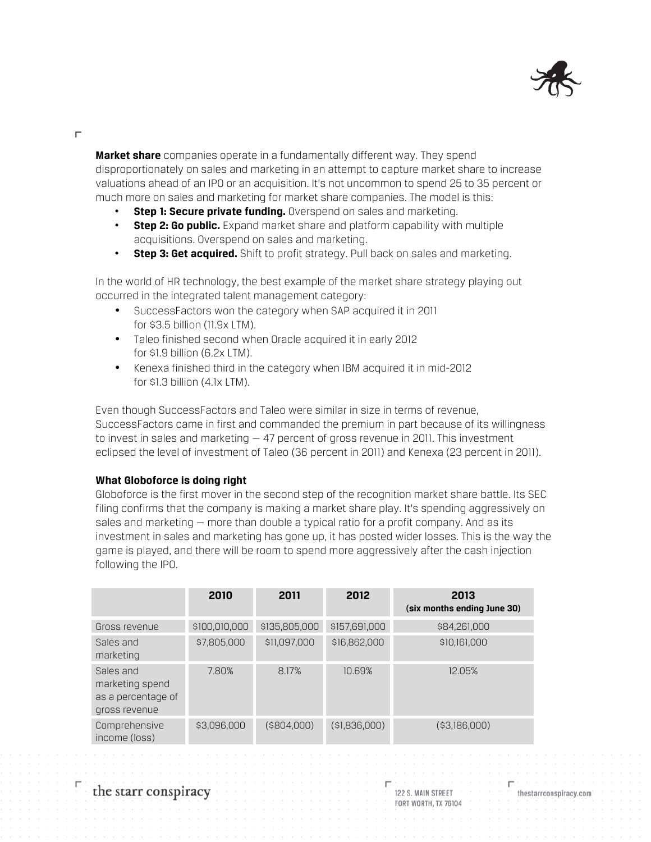

Н

**Market share** companies operate in a fundamentally different way. They spend disproportionately on sales and marketing in an attempt to capture market share to increase valuations ahead of an IPO or an acquisition. It's not uncommon to spend 25 to 35 percent or much more on sales and marketing for market share companies. The model is this:

- **Step 1: Secure private funding.** Overspend on sales and marketing.
- **Step 2: Go public.** Expand market share and platform capability with multiple acquisitions. Overspend on sales and marketing.
- **Step 3: Get acquired.** Shift to profit strategy. Pull back on sales and marketing.

In the world of HR technology, the best example of the market share strategy playing out occurred in the integrated talent management category:

- SuccessFactors won the category when SAP acquired it in 2011 for \$3.5 billion (11.9x LTM).
- Taleo finished second when Oracle acquired it in early 2012 for \$1.9 billion (6.2x LTM).
- Kenexa finished third in the category when IBM acquired it in mid-2012 for \$1.3 billion (4.1x LTM).

Even though SuccessFactors and Taleo were similar in size in terms of revenue, SuccessFactors came in first and commanded the premium in part because of its willingness to invest in sales and marketing  $-47$  percent of gross revenue in 2011. This investment eclipsed the level of investment of Taleo (36 percent in 2011) and Kenexa (23 percent in 2011).

### **What Globoforce is doing right**

Globoforce is the first mover in the second step of the recognition market share battle. Its SEC filing confirms that the company is making a market share play. It's spending aggressively on sales and marketing — more than double a typical ratio for a profit company. And as its investment in sales and marketing has gone up, it has posted wider losses. This is the way the game is played, and there will be room to spend more aggressively after the cash injection following the IPO.

|                                                                     | 2010          | 2011           | 2012          | 2013<br>(six months ending June 30) |
|---------------------------------------------------------------------|---------------|----------------|---------------|-------------------------------------|
| Gross revenue                                                       | \$100,010,000 | \$135,805,000  | \$157,691,000 | \$84,261,000                        |
| Sales and<br>marketing                                              | \$7,805,000   | \$11,097,000   | \$16,862,000  | \$10,161,000                        |
| Sales and<br>marketing spend<br>as a percentage of<br>gross revenue | 7.80%         | 8.17%          | 10.69%        | 12.05%                              |
| Comprehensive<br>income (loss)                                      | \$3,096,000   | $($ \$804,000) | (\$1,836,000) | ( \$3,186,000)                      |